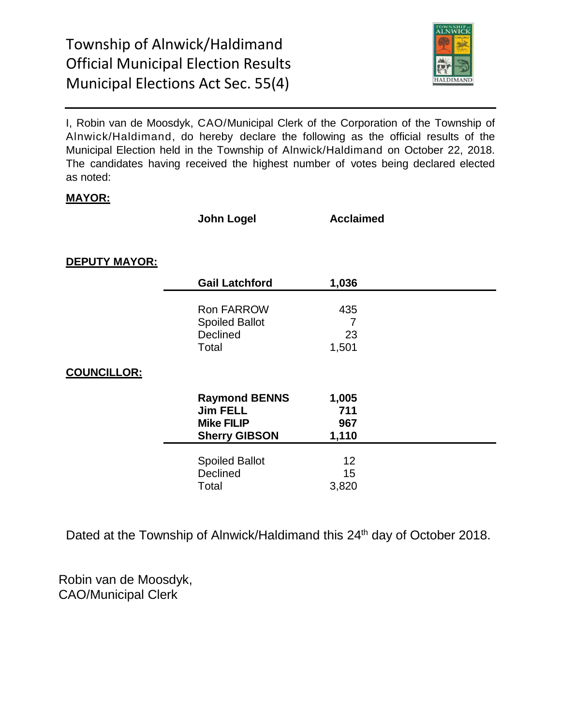

I, Robin van de Moosdyk, CAO/Municipal Clerk of the Corporation of the Township of Alnwick/Haldimand, do hereby declare the following as the official results of the Municipal Election held in the Township of Alnwick/Haldimand on October 22, 2018. The candidates having received the highest number of votes being declared elected as noted:

#### **MAYOR:**

**John Logel Acclaimed**

**DEPUTY MAYOR:**

|                    | <b>Gail Latchford</b>                                                                | 1,036                        |  |
|--------------------|--------------------------------------------------------------------------------------|------------------------------|--|
|                    | <b>Ron FARROW</b><br><b>Spoiled Ballot</b><br>Declined<br>Total                      | 435<br>7<br>23<br>1,501      |  |
| <u>COUNCILLOR:</u> |                                                                                      |                              |  |
|                    | <b>Raymond BENNS</b><br><b>Jim FELL</b><br><b>Mike FILIP</b><br><b>Sherry GIBSON</b> | 1,005<br>711<br>967<br>1,110 |  |
|                    | <b>Spoiled Ballot</b><br>Declined<br>Total                                           | 12<br>15<br>3,820            |  |

Dated at the Township of Alnwick/Haldimand this 24<sup>th</sup> day of October 2018.

Robin van de Moosdyk, CAO/Municipal Clerk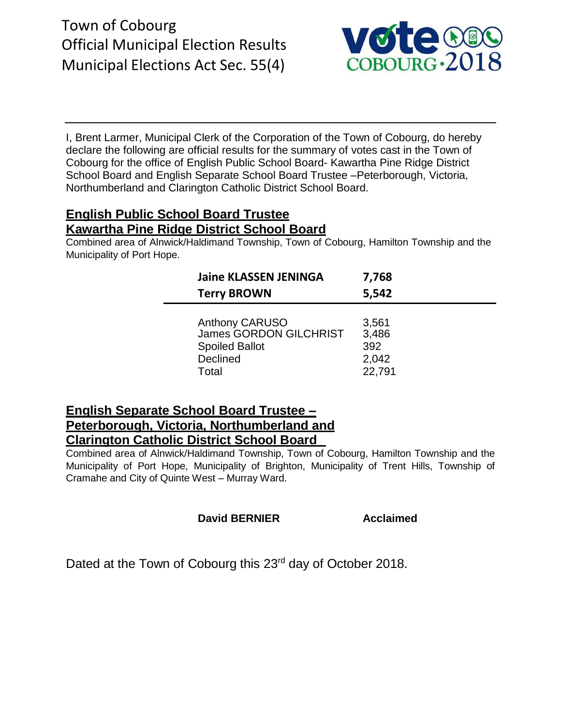# Town of Cobourg Official Municipal Election Results Municipal Elections Act Sec. 55(4)



I, Brent Larmer, Municipal Clerk of the Corporation of the Town of Cobourg, do hereby declare the following are official results for the summary of votes cast in the Town of Cobourg for the office of English Public School Board- Kawartha Pine Ridge District School Board and English Separate School Board Trustee –Peterborough, Victoria, Northumberland and Clarington Catholic District School Board.

## **English Public School Board Trustee Kawartha Pine Ridge District School Board**

Combined area of Alnwick/Haldimand Township, Town of Cobourg, Hamilton Township and the Municipality of Port Hope.

| <b>Jaine KLASSEN JENINGA</b>  | 7,768  |
|-------------------------------|--------|
| <b>Terry BROWN</b>            | 5,542  |
| <b>Anthony CARUSO</b>         | 3,561  |
| <b>James GORDON GILCHRIST</b> | 3,486  |
| <b>Spoiled Ballot</b>         | 392    |
| Declined                      | 2,042  |
| Total                         | 22,791 |

## **English Separate School Board Trustee – Peterborough, Victoria, Northumberland and Clarington Catholic District School Board**

Combined area of Alnwick/Haldimand Township, Town of Cobourg, Hamilton Township and the Municipality of Port Hope, Municipality of Brighton, Municipality of Trent Hills, Township of Cramahe and City of Quinte West – Murray Ward.

### **David BERNIER Acclaimed**

Dated at the Town of Cobourg this 23<sup>rd</sup> day of October 2018.